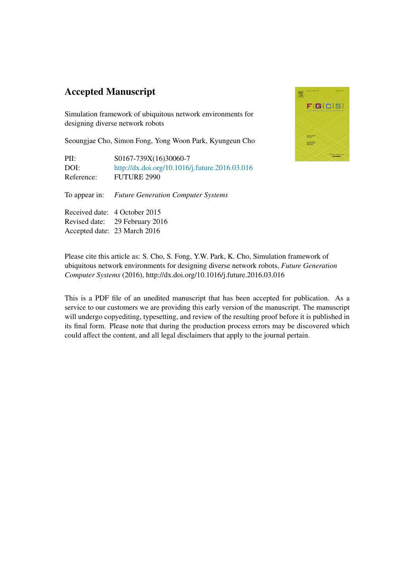## Accepted Manuscript

Simulation framework of ubiquitous network environments for designing diverse network robots

Seoungjae Cho, Simon Fong, Yong Woon Park, Kyungeun Cho

| PII:       | S0167-739X(16)30060-7                          |
|------------|------------------------------------------------|
| DOI:       | http://dx.doi.org/10.1016/j.future.2016.03.016 |
| Reference: | <b>FUTURE 2990</b>                             |

To appear in: *Future Generation Computer Systems*

Received date: 4 October 2015 Revised date: 29 February 2016 Accepted date: 23 March 2016



Please cite this article as: S. Cho, S. Fong, Y.W. Park, K. Cho, Simulation framework of ubiquitous network environments for designing diverse network robots, *Future Generation Computer Systems* (2016), http://dx.doi.org/10.1016/j.future.2016.03.016

This is a PDF file of an unedited manuscript that has been accepted for publication. As a service to our customers we are providing this early version of the manuscript. The manuscript will undergo copyediting, typesetting, and review of the resulting proof before it is published in its final form. Please note that during the production process errors may be discovered which could affect the content, and all legal disclaimers that apply to the journal pertain.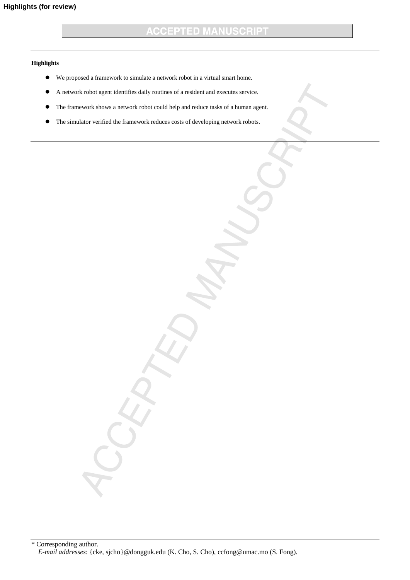## **ACCEPTED MANUSCRIPT**

## **Highlights**

- We proposed a framework to simulate a network robot in a virtual smart home.
- A network robot agent identifies daily routines of a resident and executes service.
- The framework shows a network robot could help and reduce tasks of a human agent.
- The simulator verified the framework reduces costs of developing network robots.